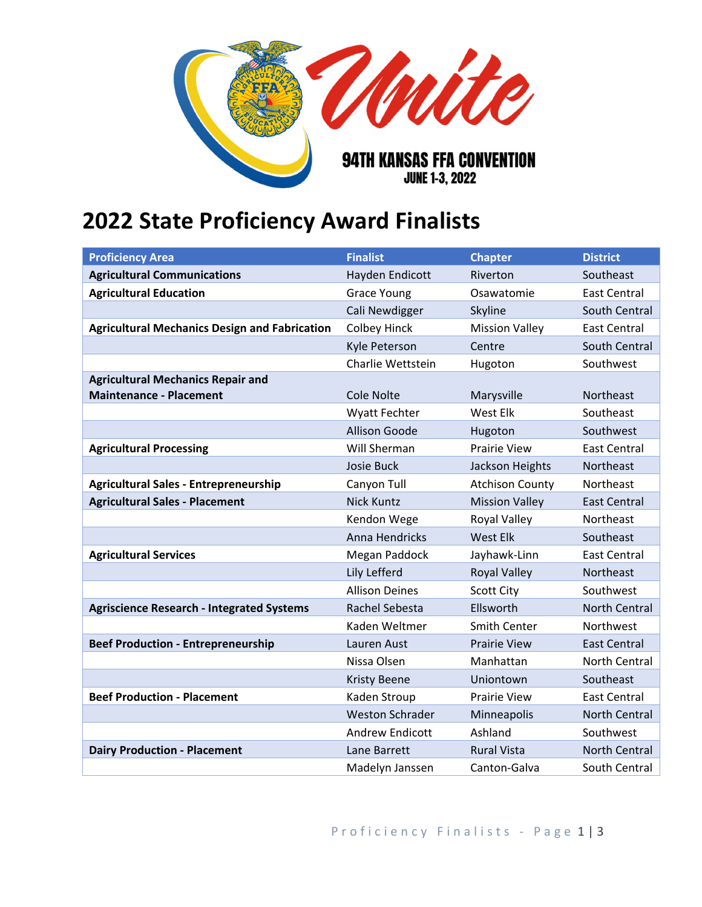

## **2022 State Proficiency Award Finalists**

| <b>Proficiency Area</b>                              | <b>Finalist</b>        | <b>Chapter</b>         | <b>District</b>      |
|------------------------------------------------------|------------------------|------------------------|----------------------|
| <b>Agricultural Communications</b>                   | Hayden Endicott        | Riverton               | Southeast            |
| <b>Agricultural Education</b>                        | <b>Grace Young</b>     | Osawatomie             | <b>East Central</b>  |
|                                                      | Cali Newdigger         | Skyline                | South Central        |
| <b>Agricultural Mechanics Design and Fabrication</b> | <b>Colbey Hinck</b>    | <b>Mission Valley</b>  | <b>East Central</b>  |
|                                                      | Kyle Peterson          | Centre                 | South Central        |
|                                                      | Charlie Wettstein      | Hugoton                | Southwest            |
| <b>Agricultural Mechanics Repair and</b>             |                        |                        |                      |
| <b>Maintenance - Placement</b>                       | Cole Nolte             | Marysville             | Northeast            |
|                                                      | <b>Wyatt Fechter</b>   | West Elk               | Southeast            |
|                                                      | <b>Allison Goode</b>   | Hugoton                | Southwest            |
| <b>Agricultural Processing</b>                       | Will Sherman           | <b>Prairie View</b>    | <b>East Central</b>  |
|                                                      | <b>Josie Buck</b>      | Jackson Heights        | <b>Northeast</b>     |
| <b>Agricultural Sales - Entrepreneurship</b>         | Canyon Tull            | <b>Atchison County</b> | Northeast            |
| <b>Agricultural Sales - Placement</b>                | <b>Nick Kuntz</b>      | <b>Mission Valley</b>  | <b>East Central</b>  |
|                                                      | Kendon Wege            | <b>Royal Valley</b>    | Northeast            |
|                                                      | Anna Hendricks         | <b>West Elk</b>        | Southeast            |
| <b>Agricultural Services</b>                         | Megan Paddock          | Jayhawk-Linn           | <b>East Central</b>  |
|                                                      | Lily Lefferd           | <b>Royal Valley</b>    | Northeast            |
|                                                      | <b>Allison Deines</b>  | <b>Scott City</b>      | Southwest            |
| <b>Agriscience Research - Integrated Systems</b>     | Rachel Sebesta         | Ellsworth              | <b>North Central</b> |
|                                                      | Kaden Weltmer          | Smith Center           | Northwest            |
| <b>Beef Production - Entrepreneurship</b>            | Lauren Aust            | <b>Prairie View</b>    | <b>East Central</b>  |
|                                                      | Nissa Olsen            | Manhattan              | North Central        |
|                                                      | <b>Kristy Beene</b>    | Uniontown              | Southeast            |
| <b>Beef Production - Placement</b>                   | Kaden Stroup           | <b>Prairie View</b>    | <b>East Central</b>  |
|                                                      | <b>Weston Schrader</b> | Minneapolis            | North Central        |
|                                                      | <b>Andrew Endicott</b> | Ashland                | Southwest            |
| <b>Dairy Production - Placement</b>                  | Lane Barrett           | <b>Rural Vista</b>     | North Central        |
|                                                      | Madelyn Janssen        | Canton-Galva           | South Central        |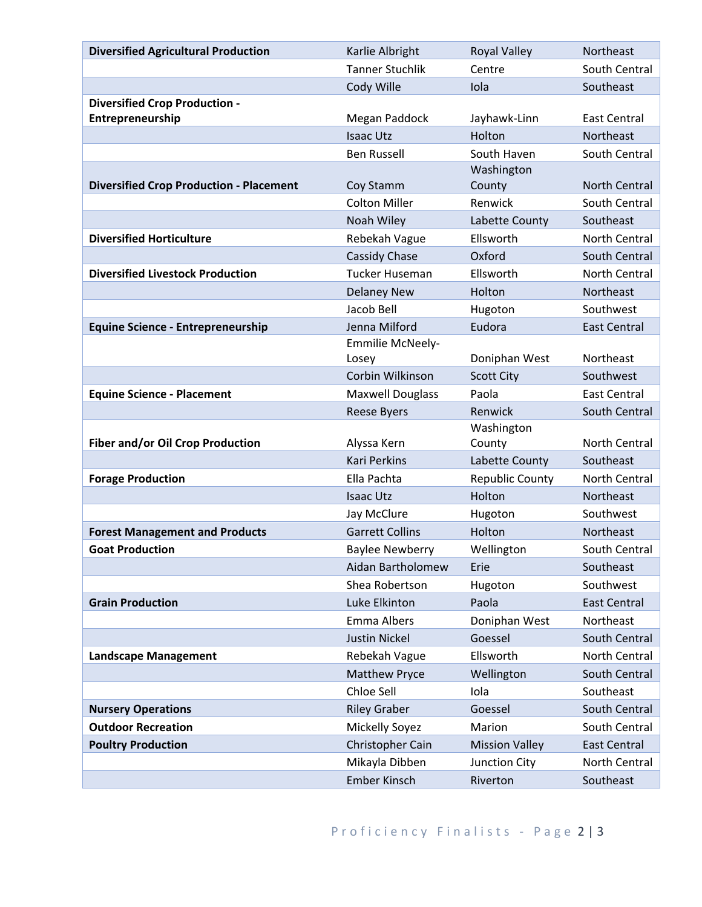| <b>Diversified Agricultural Production</b>     | Karlie Albright                          | <b>Royal Valley</b>    | Northeast           |
|------------------------------------------------|------------------------------------------|------------------------|---------------------|
|                                                | <b>Tanner Stuchlik</b>                   | Centre                 | South Central       |
|                                                | Cody Wille                               | Iola                   | Southeast           |
| <b>Diversified Crop Production -</b>           |                                          |                        |                     |
| Entrepreneurship                               | Megan Paddock                            | Jayhawk-Linn           | East Central        |
|                                                | <b>Isaac Utz</b>                         | Holton                 | Northeast           |
|                                                | <b>Ben Russell</b>                       | South Haven            | South Central       |
|                                                |                                          | Washington             |                     |
| <b>Diversified Crop Production - Placement</b> | Coy Stamm<br><b>Colton Miller</b>        | County<br>Renwick      | North Central       |
|                                                |                                          |                        | South Central       |
|                                                | Noah Wiley                               | Labette County         | Southeast           |
| <b>Diversified Horticulture</b>                | Rebekah Vague                            | Ellsworth              | North Central       |
| <b>Diversified Livestock Production</b>        | Cassidy Chase                            | Oxford<br>Ellsworth    | South Central       |
|                                                | <b>Tucker Huseman</b>                    |                        | North Central       |
|                                                | <b>Delaney New</b>                       | Holton                 | Northeast           |
|                                                | Jacob Bell                               | Hugoton                | Southwest           |
| <b>Equine Science - Entrepreneurship</b>       | Jenna Milford<br><b>Emmilie McNeely-</b> | Eudora                 | <b>East Central</b> |
|                                                | Losey                                    | Doniphan West          | Northeast           |
|                                                | Corbin Wilkinson                         | <b>Scott City</b>      | Southwest           |
| <b>Equine Science - Placement</b>              | <b>Maxwell Douglass</b>                  | Paola                  | East Central        |
|                                                | <b>Reese Byers</b>                       | Renwick                | South Central       |
|                                                |                                          | Washington             |                     |
| Fiber and/or Oil Crop Production               | Alyssa Kern                              | County                 | North Central       |
|                                                | <b>Kari Perkins</b>                      | Labette County         | Southeast           |
| <b>Forage Production</b>                       | Ella Pachta                              | <b>Republic County</b> | North Central       |
|                                                | <b>Isaac Utz</b>                         | Holton                 | Northeast           |
|                                                | Jay McClure                              | Hugoton                | Southwest           |
| <b>Forest Management and Products</b>          | <b>Garrett Collins</b>                   | Holton                 | Northeast           |
| <b>Goat Production</b>                         | <b>Baylee Newberry</b>                   | Wellington             | South Central       |
|                                                | Aidan Bartholomew                        | Erie                   | Southeast           |
|                                                | Shea Robertson                           | Hugoton                | Southwest           |
| <b>Grain Production</b>                        | Luke Elkinton                            | Paola                  | <b>East Central</b> |
|                                                | Emma Albers                              | Doniphan West          | Northeast           |
|                                                | <b>Justin Nickel</b>                     | Goessel                | South Central       |
| <b>Landscape Management</b>                    | Rebekah Vague                            | Ellsworth              | North Central       |
|                                                | <b>Matthew Pryce</b>                     | Wellington             | South Central       |
|                                                | Chloe Sell                               | Iola                   | Southeast           |
| <b>Nursery Operations</b>                      | <b>Riley Graber</b>                      | Goessel                | South Central       |
| <b>Outdoor Recreation</b>                      | Mickelly Soyez                           | Marion                 | South Central       |
| <b>Poultry Production</b>                      | Christopher Cain                         | <b>Mission Valley</b>  | <b>East Central</b> |
|                                                | Mikayla Dibben                           | Junction City          | North Central       |
|                                                | Ember Kinsch                             | Riverton               | Southeast           |